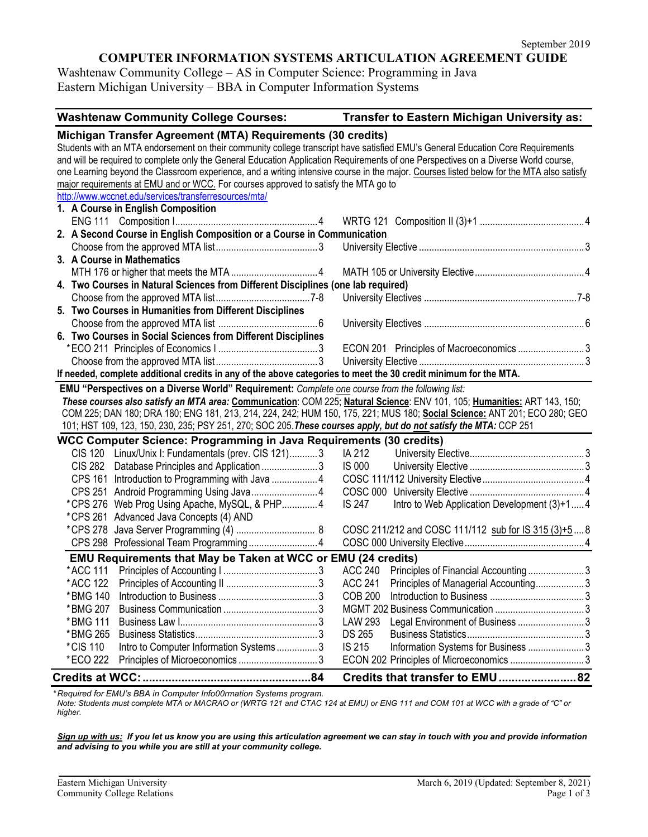### **COMPUTER INFORMATION SYSTEMS ARTICULATION AGREEMENT GUIDE**

Washtenaw Community College – AS in Computer Science: Programming in Java Eastern Michigan University – BBA in Computer Information Systems

| <b>Washtenaw Community College Courses:</b>                                                                                                                                                                                                                                                                                                                                                                                                                                       | Transfer to Eastern Michigan University as:         |  |  |  |
|-----------------------------------------------------------------------------------------------------------------------------------------------------------------------------------------------------------------------------------------------------------------------------------------------------------------------------------------------------------------------------------------------------------------------------------------------------------------------------------|-----------------------------------------------------|--|--|--|
| Michigan Transfer Agreement (MTA) Requirements (30 credits)<br>Students with an MTA endorsement on their community college transcript have satisfied EMU's General Education Core Requirements<br>and will be required to complete only the General Education Application Requirements of one Perspectives on a Diverse World course,<br>one Learning beyond the Classroom experience, and a writing intensive course in the major. Courses listed below for the MTA also satisfy |                                                     |  |  |  |
| major requirements at EMU and or WCC. For courses approved to satisfy the MTA go to<br>http://www.wccnet.edu/services/transferresources/mta/<br>1. A Course in English Composition                                                                                                                                                                                                                                                                                                |                                                     |  |  |  |
|                                                                                                                                                                                                                                                                                                                                                                                                                                                                                   |                                                     |  |  |  |
| 2. A Second Course in English Composition or a Course in Communication                                                                                                                                                                                                                                                                                                                                                                                                            |                                                     |  |  |  |
|                                                                                                                                                                                                                                                                                                                                                                                                                                                                                   |                                                     |  |  |  |
| 3. A Course in Mathematics                                                                                                                                                                                                                                                                                                                                                                                                                                                        |                                                     |  |  |  |
|                                                                                                                                                                                                                                                                                                                                                                                                                                                                                   |                                                     |  |  |  |
| 4. Two Courses in Natural Sciences from Different Disciplines (one lab required)                                                                                                                                                                                                                                                                                                                                                                                                  |                                                     |  |  |  |
|                                                                                                                                                                                                                                                                                                                                                                                                                                                                                   |                                                     |  |  |  |
| 5. Two Courses in Humanities from Different Disciplines                                                                                                                                                                                                                                                                                                                                                                                                                           |                                                     |  |  |  |
|                                                                                                                                                                                                                                                                                                                                                                                                                                                                                   |                                                     |  |  |  |
| 6. Two Courses in Social Sciences from Different Disciplines                                                                                                                                                                                                                                                                                                                                                                                                                      |                                                     |  |  |  |
|                                                                                                                                                                                                                                                                                                                                                                                                                                                                                   | ECON 201 Principles of Macroeconomics 3             |  |  |  |
| If needed, complete additional credits in any of the above categories to meet the 30 credit minimum for the MTA.                                                                                                                                                                                                                                                                                                                                                                  |                                                     |  |  |  |
|                                                                                                                                                                                                                                                                                                                                                                                                                                                                                   |                                                     |  |  |  |
| EMU "Perspectives on a Diverse World" Requirement: Complete one course from the following list:                                                                                                                                                                                                                                                                                                                                                                                   |                                                     |  |  |  |
| These courses also satisfy an MTA area: Communication: COM 225; Natural Science: ENV 101, 105; Humanities: ART 143, 150;<br>COM 225; DAN 180; DRA 180; ENG 181, 213, 214, 224, 242; HUM 150, 175, 221; MUS 180; Social Science: ANT 201; ECO 280; GEO                                                                                                                                                                                                                             |                                                     |  |  |  |
|                                                                                                                                                                                                                                                                                                                                                                                                                                                                                   |                                                     |  |  |  |
| 101; HST 109, 123, 150, 230, 235; PSY 251, 270; SOC 205. These courses apply, but do not satisfy the MTA: CCP 251                                                                                                                                                                                                                                                                                                                                                                 |                                                     |  |  |  |
| WCC Computer Science: Programming in Java Requirements (30 credits)                                                                                                                                                                                                                                                                                                                                                                                                               |                                                     |  |  |  |
| CIS 120 Linux/Unix I: Fundamentals (prev. CIS 121)3                                                                                                                                                                                                                                                                                                                                                                                                                               | IA 212<br><b>IS 000</b>                             |  |  |  |
| CIS 282 Database Principles and Application 3                                                                                                                                                                                                                                                                                                                                                                                                                                     |                                                     |  |  |  |
|                                                                                                                                                                                                                                                                                                                                                                                                                                                                                   |                                                     |  |  |  |
|                                                                                                                                                                                                                                                                                                                                                                                                                                                                                   | <b>IS 247</b>                                       |  |  |  |
| * CPS 276 Web Prog Using Apache, MySQL, & PHP 4<br>*CPS 261 Advanced Java Concepts (4) AND                                                                                                                                                                                                                                                                                                                                                                                        | Intro to Web Application Development (3)+14         |  |  |  |
|                                                                                                                                                                                                                                                                                                                                                                                                                                                                                   | COSC 211/212 and COSC 111/112 sub for IS 315 (3)+58 |  |  |  |
| CPS 298 Professional Team Programming 4                                                                                                                                                                                                                                                                                                                                                                                                                                           |                                                     |  |  |  |
|                                                                                                                                                                                                                                                                                                                                                                                                                                                                                   |                                                     |  |  |  |
| EMU Requirements that May be Taken at WCC or EMU (24 credits)                                                                                                                                                                                                                                                                                                                                                                                                                     |                                                     |  |  |  |
|                                                                                                                                                                                                                                                                                                                                                                                                                                                                                   | ACC 240 Principles of Financial Accounting 3        |  |  |  |
| *BMG 140                                                                                                                                                                                                                                                                                                                                                                                                                                                                          | ACC 241 Principles of Managerial Accounting         |  |  |  |
| *BMG 207                                                                                                                                                                                                                                                                                                                                                                                                                                                                          |                                                     |  |  |  |
| *BMG 111                                                                                                                                                                                                                                                                                                                                                                                                                                                                          | LAW 293                                             |  |  |  |
| *BMG 265                                                                                                                                                                                                                                                                                                                                                                                                                                                                          | Legal Environment of Business  3<br><b>DS 265</b>   |  |  |  |
| *CIS 110                                                                                                                                                                                                                                                                                                                                                                                                                                                                          | <b>IS 215</b><br>Information Systems for Business 3 |  |  |  |
| Intro to Computer Information Systems 3<br>*ECO 222                                                                                                                                                                                                                                                                                                                                                                                                                               |                                                     |  |  |  |
| ECON 202 Principles of Microeconomics 3                                                                                                                                                                                                                                                                                                                                                                                                                                           |                                                     |  |  |  |
|                                                                                                                                                                                                                                                                                                                                                                                                                                                                                   | Credits that transfer to EMU 82                     |  |  |  |

*\* Required for EMU's BBA in Computer Info00rmation Systems program.*

*Note: Students must complete MTA or MACRAO or (WRTG 121 and CTAC 124 at EMU) or ENG 111 and COM 101 at WCC with a grade of "C" or higher.*

*Sign up with us: If you let us know you are using this articulation agreement we can stay in touch with you and provide information and advising to you while you are still at your community college.*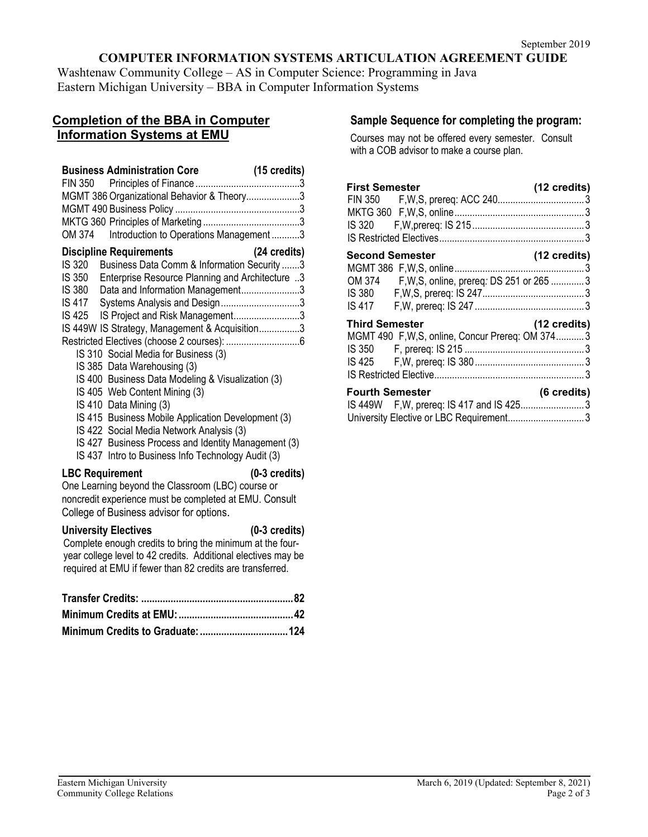## **COMPUTER INFORMATION SYSTEMS ARTICULATION AGREEMENT GUIDE**

Washtenaw Community College – AS in Computer Science: Programming in Java Eastern Michigan University – BBA in Computer Information Systems

# **Completion of the BBA in Computer Information Systems at EMU**

| <b>Business Administration Core</b><br>MGMT 386 Organizational Behavior & Theory3<br>OM 374<br>Introduction to Operations Management 3                                                                                                                                                                                                                                                                                                                                                                                                                                                                                                                                                                                                            | (15 credits)                       |
|---------------------------------------------------------------------------------------------------------------------------------------------------------------------------------------------------------------------------------------------------------------------------------------------------------------------------------------------------------------------------------------------------------------------------------------------------------------------------------------------------------------------------------------------------------------------------------------------------------------------------------------------------------------------------------------------------------------------------------------------------|------------------------------------|
| <b>Discipline Requirements</b><br>Business Data Comm & Information Security 3<br>IS 320<br>IS 350<br>Enterprise Resource Planning and Architecture 3<br>Data and Information Management3<br>IS 380<br>Systems Analysis and Design3<br>IS 417<br>IS Project and Risk Management3<br>IS 425<br>IS 449W IS Strategy, Management & Acquisition3<br>IS 310 Social Media for Business (3)<br>IS 385 Data Warehousing (3)<br>IS 400 Business Data Modeling & Visualization (3)<br>IS 405 Web Content Mining (3)<br>IS 410 Data Mining (3)<br>IS 415 Business Mobile Application Development (3)<br>IS 422 Social Media Network Analysis (3)<br>IS 427 Business Process and Identity Management (3)<br>IS 437 Intro to Business Info Technology Audit (3) | (24 credits)                       |
| <b>LBC Requirement</b><br>One Learning beyond the Classroom (LBC) course or<br>noncredit experience must be completed at EMU. Consult<br>College of Business advisor for options.<br><b>University Electives</b><br>Complete enough credits to bring the minimum at the four-<br>year college level to 42 credits. Additional electives may be<br>required at EMU if fewer than 82 credits are transferred.                                                                                                                                                                                                                                                                                                                                       | $(0-3$ credits)<br>$(0-3$ credits) |
| Minimum Credits to Graduate:.                                                                                                                                                                                                                                                                                                                                                                                                                                                                                                                                                                                                                                                                                                                     | .124                               |

## **Sample Sequence for completing the program:**

Courses may not be offered every semester. Consult with a COB advisor to make a course plan.

| <b>First Semester</b>  |                                                                                      | (12 credits) |
|------------------------|--------------------------------------------------------------------------------------|--------------|
| <b>Second Semester</b> | OM 374 F, W, S, online, prereq: DS 251 or 265 3                                      | (12 credits) |
| <b>Third Semester</b>  | MGMT 490 F, W, S, online, Concur Prereq: OM 3743                                     | (12 credits) |
| <b>Fourth Semester</b> | IS 449W F, W, prereq: IS 417 and IS 4253<br>University Elective or LBC Requirement 3 | (6 credits)  |